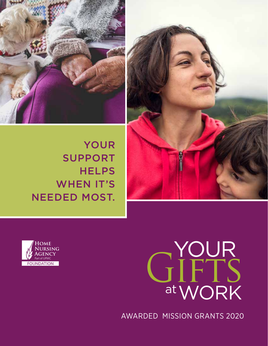

YOUR SUPPORT **HELPS** WHEN IT'S NEEDED MOST.





# GIFTS WORK at YOUR

AWARDED MISSION GRANTS 2020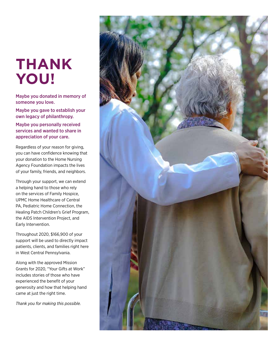## **THANK YOU!**

Maybe you donated in memory of someone you love.

Maybe you gave to establish your own legacy of philanthropy.

Maybe you personally received services and wanted to share in appreciation of your care.

Regardless of your reason for giving, you can have confidence knowing that your donation to the Home Nursing Agency Foundation impacts the lives of your family, friends, and neighbors.

Through your support, we can extend a helping hand to those who rely on the services of Family Hospice, UPMC Home Healthcare of Central PA, Pediatric Home Connection, the Healing Patch Children's Grief Program, the AIDS Intervention Project, and Early Intervention.

Throughout 2020, \$166,900 of your support will be used to directly impact patients, clients, and families right here in West Central Pennsylvania.

Along with the approved Mission Grants for 2020, "Your Gifts at Work" includes stories of those who have experienced the benefit of your generosity and how that helping hand came at just the right time.

*Thank you for making this possible.*

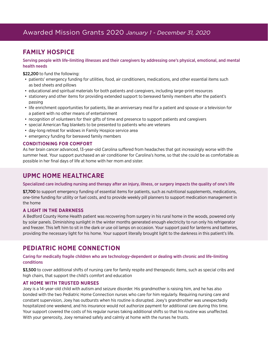## Awarded Mission Grants 2020 *January 1 - December 31, 2020*

## **FAMILY HOSPICE**

#### Serving people with life-limiting illnesses and their caregivers by addressing one's physical, emotional, and mental health needs

\$22,200 to fund the following:

- patients' emergency funding for utilities, food, air conditioners, medications, and other essential items such as bed sheets and pillows
- educational and spiritual materials for both patients and caregivers, including large-print resources
- stationery and other items for providing extended support to bereaved family members after the patient's passing
- life enrichment opportunities for patients, like an anniversary meal for a patient and spouse or a television for a patient with no other means of entertainment
- recognition of volunteers for their gifts of time and presence to support patients and caregivers
- special American flag blankets to be presented to patients who are veterans
- day-long retreat for widows in Family Hospice service area
- emergency funding for bereaved family members

#### **CONDITIONING FOR COMFORT**

As her brain cancer advanced, 13-year-old Carolina suffered from headaches that got increasingly worse with the summer heat. Your support purchased an air conditioner for Carolina's home, so that she could be as comfortable as possible in her final days of life at home with her mom and sister.

### **UPMC HOME HEALTHCARE**

#### Specialized care including nursing and therapy after an injury, illness, or surgery impacts the quality of one's life

\$7,700 to support emergency funding of essential items for patients, such as nutritional supplements, medications, one-time funding for utility or fuel costs, and to provide weekly pill planners to support medication management in the home

#### **A LIGHT IN THE DARKNESS**

A Bedford County Home Health patient was recovering from surgery in his rural home in the woods, powered only by solar panels. Diminishing sunlight in the winter months generated enough electricity to run only his refrigerator and freezer. This left him to sit in the dark or use oil lamps on occasion. Your support paid for lanterns and batteries, providing the necessary light for his home. Your support literally brought light to the darkness in this patient's life.

## **PEDIATRIC HOME CONNECTION**

#### Caring for medically fragile children who are technology-dependent or dealing with chronic and life-limiting conditions

\$3,500 to cover additional shifts of nursing care for family respite and therapeutic items, such as special cribs and high chairs, that support the child's comfort and education

#### **AT HOME WITH TRUSTED NURSES**

Joey is a 14-year-old child with autism and seizure disorder. His grandmother is raising him, and he has also bonded with the two Pediatric Home Connection nurses who care for him regularly. Requiring nursing care and constant supervision, Joey has outbursts when his routine is disrupted. Joey's grandmother was unexpectedly hospitalized one weekend, and his insurance would not authorize payment for additional care during this time. Your support covered the costs of his regular nurses taking additional shifts so that his routine was unaffected. With your generosity, Joey remained safely and calmly at home with the nurses he trusts.